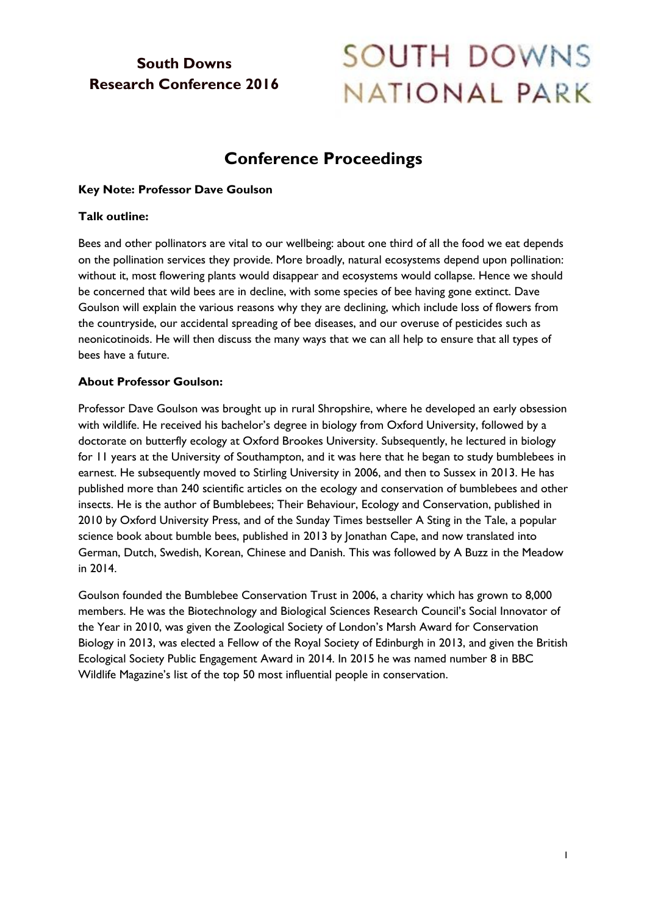# **South Downs Research Conference 2016**

# SOUTH DOWNS NATIONAL PARK

# **Conference Proceedings**

## **Key Note: Professor Dave Goulson**

#### **Talk outline:**

Bees and other pollinators are vital to our wellbeing: about one third of all the food we eat depends on the pollination services they provide. More broadly, natural ecosystems depend upon pollination: without it, most flowering plants would disappear and ecosystems would collapse. Hence we should be concerned that wild bees are in decline, with some species of bee having gone extinct. Dave Goulson will explain the various reasons why they are declining, which include loss of flowers from the countryside, our accidental spreading of bee diseases, and our overuse of pesticides such as neonicotinoids. He will then discuss the many ways that we can all help to ensure that all types of bees have a future.

#### **About Professor Goulson:**

Professor Dave Goulson was brought up in rural Shropshire, where he developed an early obsession with wildlife. He received his bachelor's degree in biology from Oxford University, followed by a doctorate on butterfly ecology at Oxford Brookes University. Subsequently, he lectured in biology for 11 years at the University of Southampton, and it was here that he began to study bumblebees in earnest. He subsequently moved to Stirling University in 2006, and then to Sussex in 2013. He has published more than 240 scientific articles on the ecology and conservation of bumblebees and other insects. He is the author of [Bumblebees; Their Behaviour, Ecology and Conservation,](https://www.goodreads.com/book/show/6802289-bumblebees) published in 2010 by Oxford University Press, and of the Sunday Times bestseller [A Sting in the Tale,](https://www.goodreads.com/book/show/22819128-a-sting-in-the-tail?from_search=true&search_version=service) a popular science book about bumble bees, published in 2013 by Jonathan Cape, and now translated into German, Dutch, Swedish, Korean, Chinese and Danish. This was followed by A Buzz in the Meadow in 2014.

Goulson founded the Bumblebee Conservation Trust in 2006, a charity which has grown to 8,000 members. He was the Biotechnology and Biological Sciences Research Council's Social Innovator of the Year in 2010, was given the Zoological Society of London's Marsh Award for Conservation Biology in 2013, was elected a Fellow of the Royal Society of Edinburgh in 2013, and given the British Ecological Society Public Engagement Award in 2014. In 2015 he was named number 8 in BBC Wildlife Magazine's list of the top 50 most influential people in conservation.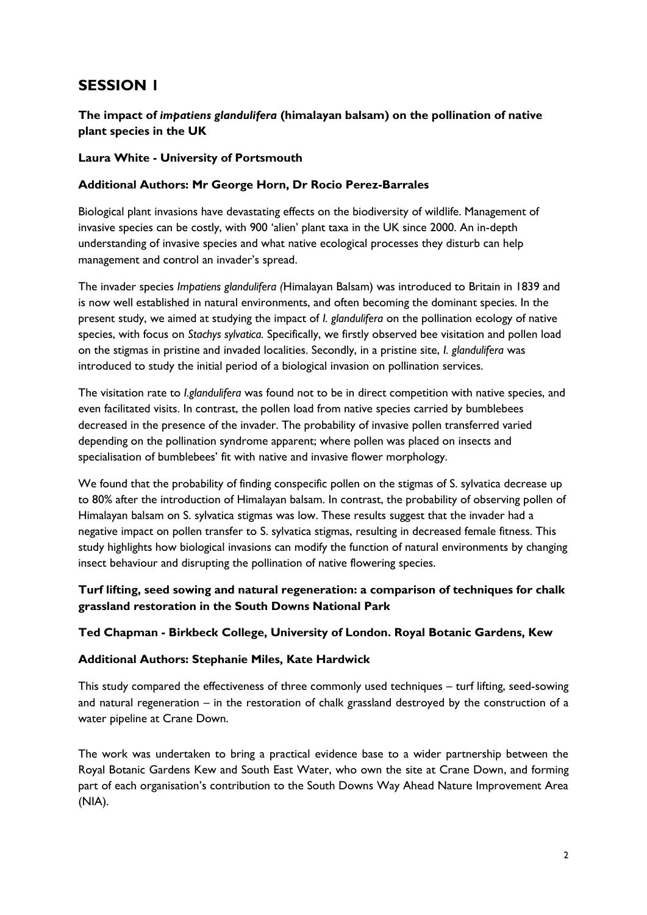# **SESSION 1**

# **The impact of** *impatiens glandulifera* **(himalayan balsam) on the pollination of native plant species in the UK**

#### **Laura White - University of Portsmouth**

#### **Additional Authors: Mr George Horn, Dr Rocio Perez-Barrales**

Biological plant invasions have devastating effects on the biodiversity of wildlife. Management of invasive species can be costly, with 900 'alien' plant taxa in the UK since 2000. An in-depth understanding of invasive species and what native ecological processes they disturb can help management and control an invader's spread.

The invader species *Impatiens glandulifera (*Himalayan Balsam) was introduced to Britain in 1839 and is now well established in natural environments, and often becoming the dominant species. In the present study, we aimed at studying the impact of *I. glandulifera* on the pollination ecology of native species, with focus on *Stachys sylvatica.* Specifically, we firstly observed bee visitation and pollen load on the stigmas in pristine and invaded localities. Secondly, in a pristine site, *I. glandulifera* was introduced to study the initial period of a biological invasion on pollination services.

The visitation rate to *I.glandulifera* was found not to be in direct competition with native species, and even facilitated visits. In contrast, the pollen load from native species carried by bumblebees decreased in the presence of the invader. The probability of invasive pollen transferred varied depending on the pollination syndrome apparent; where pollen was placed on insects and specialisation of bumblebees' fit with native and invasive flower morphology.

We found that the probability of finding conspecific pollen on the stigmas of S. sylvatica decrease up to 80% after the introduction of Himalayan balsam. In contrast, the probability of observing pollen of Himalayan balsam on S. sylvatica stigmas was low. These results suggest that the invader had a negative impact on pollen transfer to S. sylvatica stigmas, resulting in decreased female fitness. This study highlights how biological invasions can modify the function of natural environments by changing insect behaviour and disrupting the pollination of native flowering species.

# **Turf lifting, seed sowing and natural regeneration: a comparison of techniques for chalk grassland restoration in the South Downs National Park**

#### **Ted Chapman - Birkbeck College, University of London. Royal Botanic Gardens, Kew**

#### **Additional Authors: Stephanie Miles, Kate Hardwick**

This study compared the effectiveness of three commonly used techniques – turf lifting, seed-sowing and natural regeneration – in the restoration of chalk grassland destroyed by the construction of a water pipeline at Crane Down.

The work was undertaken to bring a practical evidence base to a wider partnership between the Royal Botanic Gardens Kew and South East Water, who own the site at Crane Down, and forming part of each organisation's contribution to the South Downs Way Ahead Nature Improvement Area (NIA).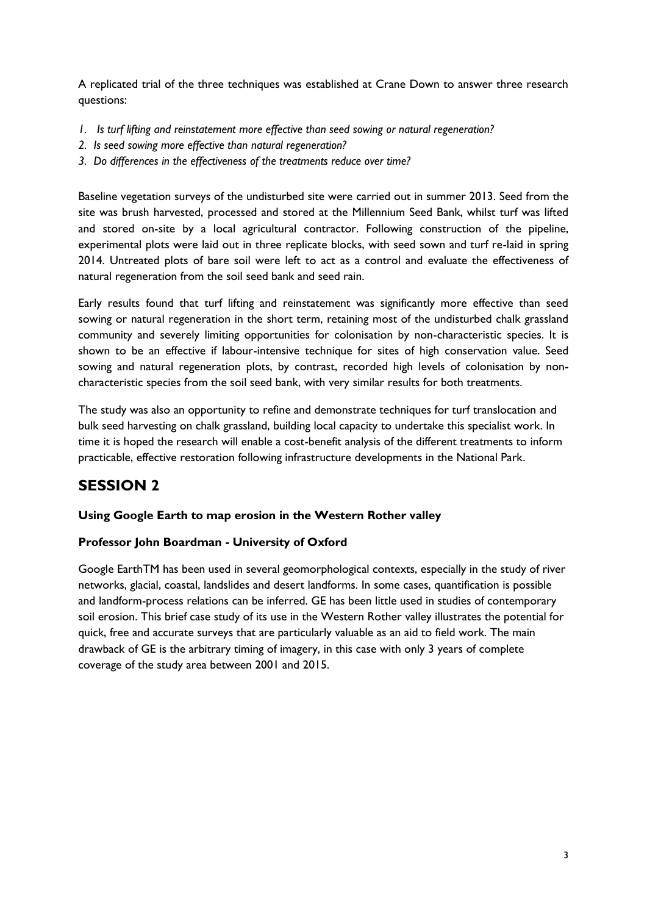A replicated trial of the three techniques was established at Crane Down to answer three research questions:

- *1. Is turf lifting and reinstatement more effective than seed sowing or natural regeneration?*
- *2. Is seed sowing more effective than natural regeneration?*
- *3. Do differences in the effectiveness of the treatments reduce over time?*

Baseline vegetation surveys of the undisturbed site were carried out in summer 2013. Seed from the site was brush harvested, processed and stored at the Millennium Seed Bank, whilst turf was lifted and stored on-site by a local agricultural contractor. Following construction of the pipeline, experimental plots were laid out in three replicate blocks, with seed sown and turf re-laid in spring 2014. Untreated plots of bare soil were left to act as a control and evaluate the effectiveness of natural regeneration from the soil seed bank and seed rain.

Early results found that turf lifting and reinstatement was significantly more effective than seed sowing or natural regeneration in the short term, retaining most of the undisturbed chalk grassland community and severely limiting opportunities for colonisation by non-characteristic species. It is shown to be an effective if labour-intensive technique for sites of high conservation value. Seed sowing and natural regeneration plots, by contrast, recorded high levels of colonisation by noncharacteristic species from the soil seed bank, with very similar results for both treatments.

The study was also an opportunity to refine and demonstrate techniques for turf translocation and bulk seed harvesting on chalk grassland, building local capacity to undertake this specialist work. In time it is hoped the research will enable a cost-benefit analysis of the different treatments to inform practicable, effective restoration following infrastructure developments in the National Park.

# **SESSION 2**

# **Using Google Earth to map erosion in the Western Rother valley**

#### **Professor John Boardman - University of Oxford**

Google EarthTM has been used in several geomorphological contexts, especially in the study of river networks, glacial, coastal, landslides and desert landforms. In some cases, quantification is possible and landform-process relations can be inferred. GE has been little used in studies of contemporary soil erosion. This brief case study of its use in the Western Rother valley illustrates the potential for quick, free and accurate surveys that are particularly valuable as an aid to field work. The main drawback of GE is the arbitrary timing of imagery, in this case with only 3 years of complete coverage of the study area between 2001 and 2015.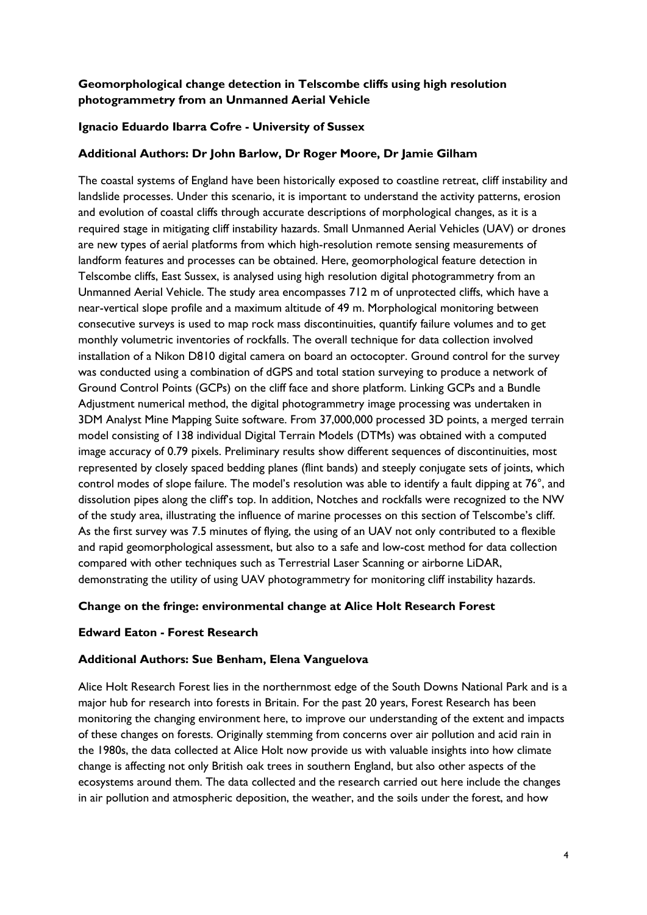# **Geomorphological change detection in Telscombe cliffs using high resolution photogrammetry from an Unmanned Aerial Vehicle**

## **Ignacio Eduardo Ibarra Cofre - University of Sussex**

#### **Additional Authors: Dr John Barlow, Dr Roger Moore, Dr Jamie Gilham**

The coastal systems of England have been historically exposed to coastline retreat, cliff instability and landslide processes. Under this scenario, it is important to understand the activity patterns, erosion and evolution of coastal cliffs through accurate descriptions of morphological changes, as it is a required stage in mitigating cliff instability hazards. Small Unmanned Aerial Vehicles (UAV) or drones are new types of aerial platforms from which high-resolution remote sensing measurements of landform features and processes can be obtained. Here, geomorphological feature detection in Telscombe cliffs, East Sussex, is analysed using high resolution digital photogrammetry from an Unmanned Aerial Vehicle. The study area encompasses 712 m of unprotected cliffs, which have a near-vertical slope profile and a maximum altitude of 49 m. Morphological monitoring between consecutive surveys is used to map rock mass discontinuities, quantify failure volumes and to get monthly volumetric inventories of rockfalls. The overall technique for data collection involved installation of a Nikon D810 digital camera on board an octocopter. Ground control for the survey was conducted using a combination of dGPS and total station surveying to produce a network of Ground Control Points (GCPs) on the cliff face and shore platform. Linking GCPs and a Bundle Adjustment numerical method, the digital photogrammetry image processing was undertaken in 3DM Analyst Mine Mapping Suite software. From 37,000,000 processed 3D points, a merged terrain model consisting of 138 individual Digital Terrain Models (DTMs) was obtained with a computed image accuracy of 0.79 pixels. Preliminary results show different sequences of discontinuities, most represented by closely spaced bedding planes (flint bands) and steeply conjugate sets of joints, which control modes of slope failure. The model's resolution was able to identify a fault dipping at 76°, and dissolution pipes along the cliff's top. In addition, Notches and rockfalls were recognized to the NW of the study area, illustrating the influence of marine processes on this section of Telscombe's cliff. As the first survey was 7.5 minutes of flying, the using of an UAV not only contributed to a flexible and rapid geomorphological assessment, but also to a safe and low-cost method for data collection compared with other techniques such as Terrestrial Laser Scanning or airborne LiDAR, demonstrating the utility of using UAV photogrammetry for monitoring cliff instability hazards.

#### **Change on the fringe: environmental change at Alice Holt Research Forest**

#### **Edward Eaton - Forest Research**

#### **Additional Authors: Sue Benham, Elena Vanguelova**

Alice Holt Research Forest lies in the northernmost edge of the South Downs National Park and is a major hub for research into forests in Britain. For the past 20 years, Forest Research has been monitoring the changing environment here, to improve our understanding of the extent and impacts of these changes on forests. Originally stemming from concerns over air pollution and acid rain in the 1980s, the data collected at Alice Holt now provide us with valuable insights into how climate change is affecting not only British oak trees in southern England, but also other aspects of the ecosystems around them. The data collected and the research carried out here include the changes in air pollution and atmospheric deposition, the weather, and the soils under the forest, and how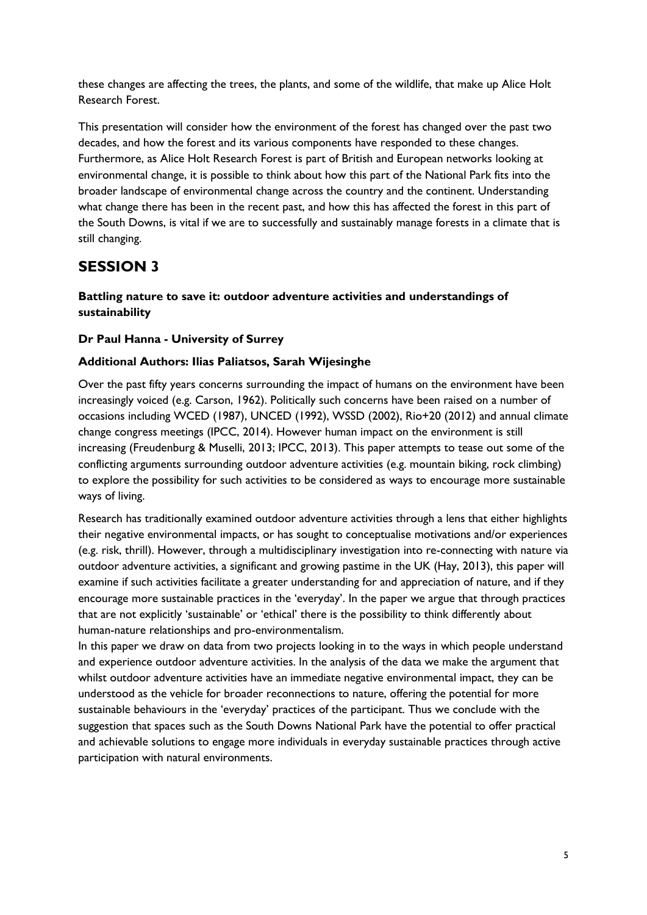these changes are affecting the trees, the plants, and some of the wildlife, that make up Alice Holt Research Forest.

This presentation will consider how the environment of the forest has changed over the past two decades, and how the forest and its various components have responded to these changes. Furthermore, as Alice Holt Research Forest is part of British and European networks looking at environmental change, it is possible to think about how this part of the National Park fits into the broader landscape of environmental change across the country and the continent. Understanding what change there has been in the recent past, and how this has affected the forest in this part of the South Downs, is vital if we are to successfully and sustainably manage forests in a climate that is still changing.

# **SESSION 3**

# **Battling nature to save it: outdoor adventure activities and understandings of sustainability**

# **Dr Paul Hanna - University of Surrey**

## **Additional Authors: Ilias Paliatsos, Sarah Wijesinghe**

Over the past fifty years concerns surrounding the impact of humans on the environment have been increasingly voiced (e.g. Carson, 1962). Politically such concerns have been raised on a number of occasions including WCED (1987), UNCED (1992), WSSD (2002), Rio+20 (2012) and annual climate change congress meetings (IPCC, 2014). However human impact on the environment is still increasing (Freudenburg & Muselli, 2013; IPCC, 2013). This paper attempts to tease out some of the conflicting arguments surrounding outdoor adventure activities (e.g. mountain biking, rock climbing) to explore the possibility for such activities to be considered as ways to encourage more sustainable ways of living.

Research has traditionally examined outdoor adventure activities through a lens that either highlights their negative environmental impacts, or has sought to conceptualise motivations and/or experiences (e.g. risk, thrill). However, through a multidisciplinary investigation into re-connecting with nature via outdoor adventure activities, a significant and growing pastime in the UK (Hay, 2013), this paper will examine if such activities facilitate a greater understanding for and appreciation of nature, and if they encourage more sustainable practices in the 'everyday'. In the paper we argue that through practices that are not explicitly 'sustainable' or 'ethical' there is the possibility to think differently about human-nature relationships and pro-environmentalism.

In this paper we draw on data from two projects looking in to the ways in which people understand and experience outdoor adventure activities. In the analysis of the data we make the argument that whilst outdoor adventure activities have an immediate negative environmental impact, they can be understood as the vehicle for broader reconnections to nature, offering the potential for more sustainable behaviours in the 'everyday' practices of the participant. Thus we conclude with the suggestion that spaces such as the South Downs National Park have the potential to offer practical and achievable solutions to engage more individuals in everyday sustainable practices through active participation with natural environments.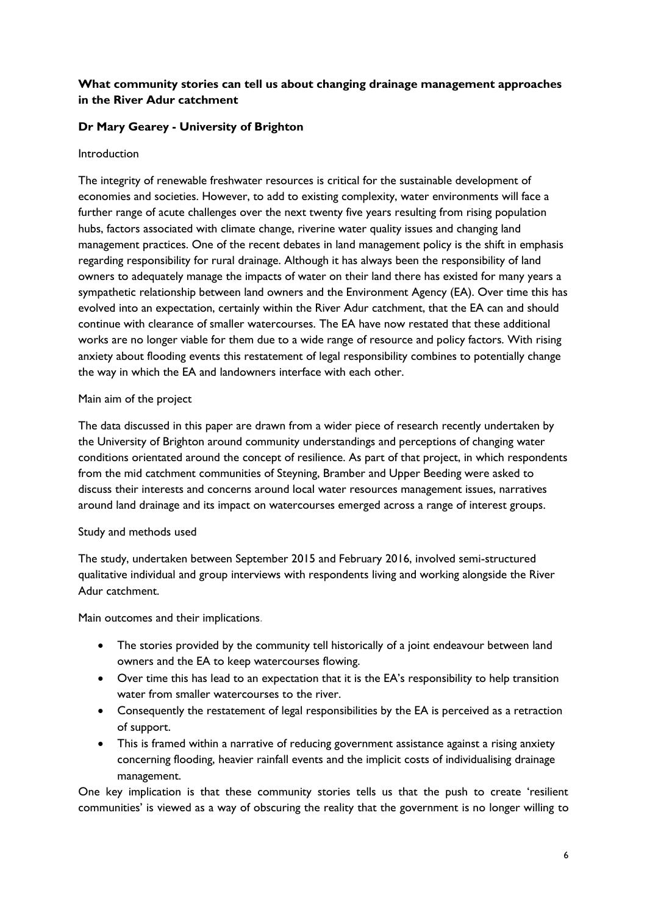# **What community stories can tell us about changing drainage management approaches in the River Adur catchment**

## **Dr Mary Gearey - University of Brighton**

#### Introduction

The integrity of renewable freshwater resources is critical for the sustainable development of economies and societies. However, to add to existing complexity, water environments will face a further range of acute challenges over the next twenty five years resulting from rising population hubs, factors associated with climate change, riverine water quality issues and changing land management practices. One of the recent debates in land management policy is the shift in emphasis regarding responsibility for rural drainage. Although it has always been the responsibility of land owners to adequately manage the impacts of water on their land there has existed for many years a sympathetic relationship between land owners and the Environment Agency (EA). Over time this has evolved into an expectation, certainly within the River Adur catchment, that the EA can and should continue with clearance of smaller watercourses. The EA have now restated that these additional works are no longer viable for them due to a wide range of resource and policy factors. With rising anxiety about flooding events this restatement of legal responsibility combines to potentially change the way in which the EA and landowners interface with each other.

#### Main aim of the project

The data discussed in this paper are drawn from a wider piece of research recently undertaken by the University of Brighton around community understandings and perceptions of changing water conditions orientated around the concept of resilience. As part of that project, in which respondents from the mid catchment communities of Steyning, Bramber and Upper Beeding were asked to discuss their interests and concerns around local water resources management issues, narratives around land drainage and its impact on watercourses emerged across a range of interest groups.

#### Study and methods used

The study, undertaken between September 2015 and February 2016, involved semi-structured qualitative individual and group interviews with respondents living and working alongside the River Adur catchment.

Main outcomes and their implications.

- The stories provided by the community tell historically of a joint endeavour between land owners and the EA to keep watercourses flowing.
- Over time this has lead to an expectation that it is the EA's responsibility to help transition water from smaller watercourses to the river.
- Consequently the restatement of legal responsibilities by the EA is perceived as a retraction of support.
- This is framed within a narrative of reducing government assistance against a rising anxiety concerning flooding, heavier rainfall events and the implicit costs of individualising drainage management.

One key implication is that these community stories tells us that the push to create 'resilient communities' is viewed as a way of obscuring the reality that the government is no longer willing to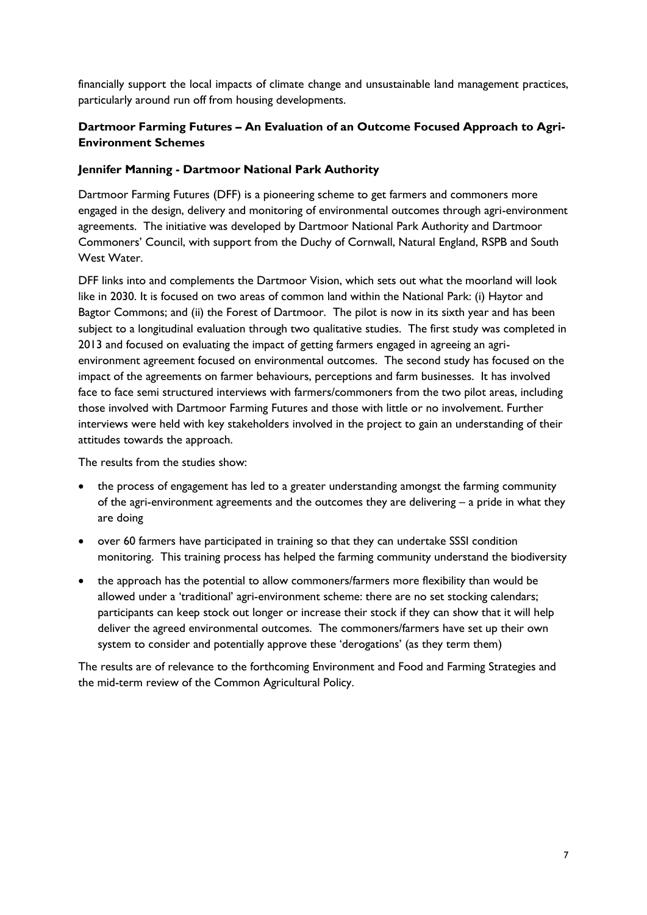financially support the local impacts of climate change and unsustainable land management practices, particularly around run off from housing developments.

# **Dartmoor Farming Futures – An Evaluation of an Outcome Focused Approach to Agri-Environment Schemes**

#### **Jennifer Manning - Dartmoor National Park Authority**

Dartmoor Farming Futures (DFF) is a pioneering scheme to get farmers and commoners more engaged in the design, delivery and monitoring of environmental outcomes through agri-environment agreements. The initiative was developed by Dartmoor National Park Authority and Dartmoor Commoners' Council, with support from the Duchy of Cornwall, Natural England, RSPB and South West Water.

DFF links into and complements the Dartmoor Vision, which sets out what the moorland will look like in 2030. It is focused on two areas of common land within the National Park: (i) Haytor and Bagtor Commons; and (ii) the Forest of Dartmoor. The pilot is now in its sixth year and has been subject to a longitudinal evaluation through two qualitative studies. The first study was completed in 2013 and focused on evaluating the impact of getting farmers engaged in agreeing an agrienvironment agreement focused on environmental outcomes. The second study has focused on the impact of the agreements on farmer behaviours, perceptions and farm businesses. It has involved face to face semi structured interviews with farmers/commoners from the two pilot areas, including those involved with Dartmoor Farming Futures and those with little or no involvement. Further interviews were held with key stakeholders involved in the project to gain an understanding of their attitudes towards the approach.

The results from the studies show:

- the process of engagement has led to a greater understanding amongst the farming community of the agri-environment agreements and the outcomes they are delivering – a pride in what they are doing
- over 60 farmers have participated in training so that they can undertake SSSI condition monitoring. This training process has helped the farming community understand the biodiversity
- the approach has the potential to allow commoners/farmers more flexibility than would be allowed under a 'traditional' agri-environment scheme: there are no set stocking calendars; participants can keep stock out longer or increase their stock if they can show that it will help deliver the agreed environmental outcomes. The commoners/farmers have set up their own system to consider and potentially approve these 'derogations' (as they term them)

The results are of relevance to the forthcoming Environment and Food and Farming Strategies and the mid-term review of the Common Agricultural Policy.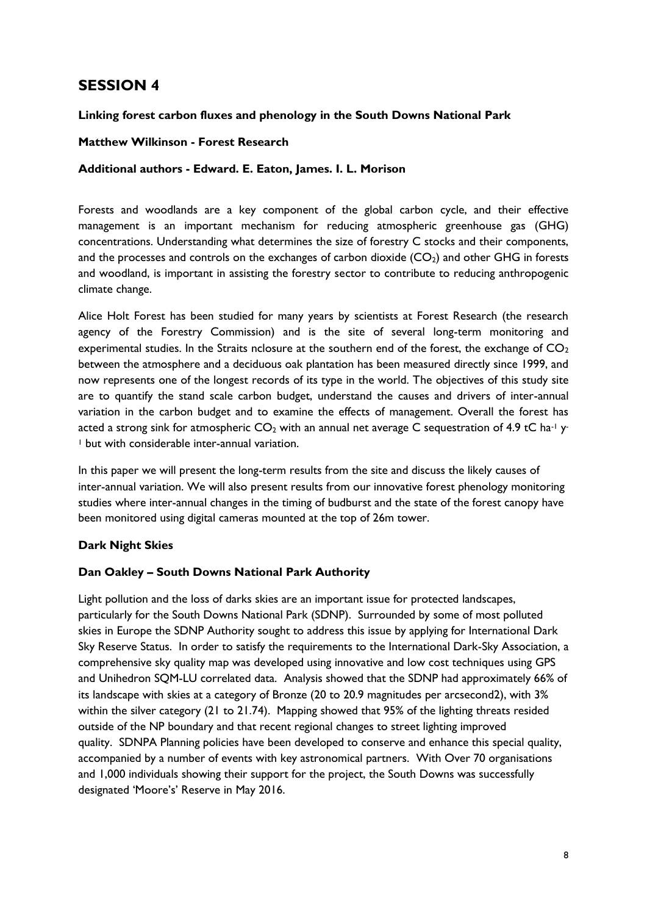# **SESSION 4**

#### **Linking forest carbon fluxes and phenology in the South Downs National Park**

#### **Matthew Wilkinson - Forest Research**

#### **Additional authors - Edward. E. Eaton, James. I. L. Morison**

Forests and woodlands are a key component of the global carbon cycle, and their effective management is an important mechanism for reducing atmospheric greenhouse gas (GHG) concentrations. Understanding what determines the size of forestry C stocks and their components, and the processes and controls on the exchanges of carbon dioxide  $(CO<sub>2</sub>)$  and other GHG in forests and woodland, is important in assisting the forestry sector to contribute to reducing anthropogenic climate change.

Alice Holt Forest has been studied for many years by scientists at Forest Research (the research agency of the Forestry Commission) and is the site of several long-term monitoring and experimental studies. In the Straits nclosure at the southern end of the forest, the exchange of  $CO<sub>2</sub>$ between the atmosphere and a deciduous oak plantation has been measured directly since 1999, and now represents one of the longest records of its type in the world. The objectives of this study site are to quantify the stand scale carbon budget, understand the causes and drivers of inter-annual variation in the carbon budget and to examine the effects of management. Overall the forest has acted a strong sink for atmospheric  $CO_2$  with an annual net average C sequestration of 4.9 tC ha<sup>-1</sup> y <sup>1</sup> but with considerable inter-annual variation.

In this paper we will present the long-term results from the site and discuss the likely causes of inter-annual variation. We will also present results from our innovative forest phenology monitoring studies where inter-annual changes in the timing of budburst and the state of the forest canopy have been monitored using digital cameras mounted at the top of 26m tower.

#### **Dark Night Skies**

#### **Dan Oakley – South Downs National Park Authority**

Light pollution and the loss of darks skies are an important issue for protected landscapes, particularly for the South Downs National Park (SDNP). Surrounded by some of most polluted skies in Europe the SDNP Authority sought to address this issue by applying for International Dark Sky Reserve Status. In order to satisfy the requirements to the International Dark-Sky Association, a comprehensive sky quality map was developed using innovative and low cost techniques using GPS and Unihedron SQM-LU correlated data. Analysis showed that the SDNP had approximately 66% of its landscape with skies at a category of Bronze (20 to 20.9 magnitudes per arcsecond2), with 3% within the silver category (21 to 21.74). Mapping showed that 95% of the lighting threats resided outside of the NP boundary and that recent regional changes to street lighting improved quality. SDNPA Planning policies have been developed to conserve and enhance this special quality, accompanied by a number of events with key astronomical partners. With Over 70 organisations and 1,000 individuals showing their support for the project, the South Downs was successfully designated 'Moore's' Reserve in May 2016.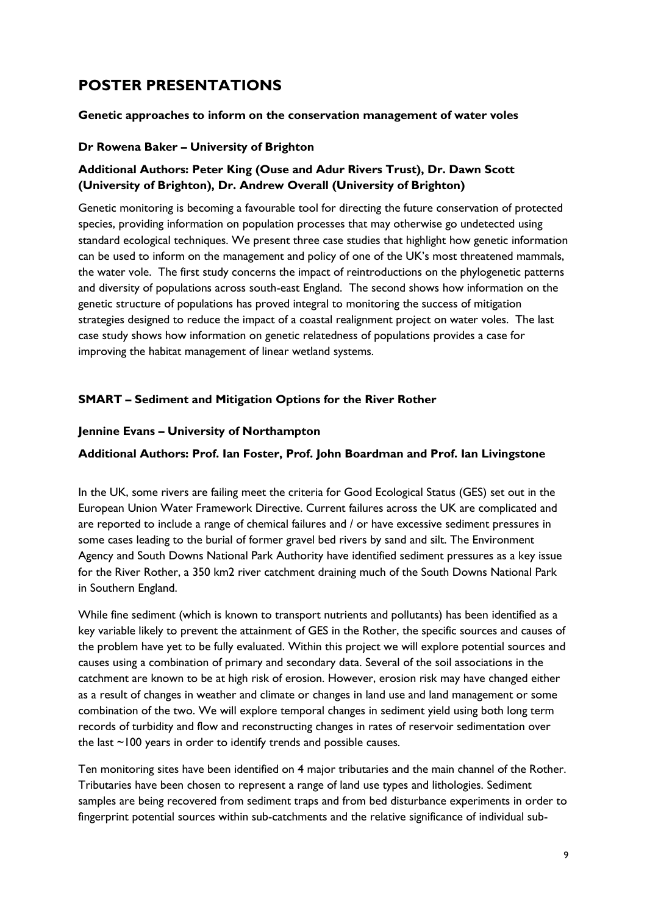# **POSTER PRESENTATIONS**

#### **Genetic approaches to inform on the conservation management of water voles**

#### **Dr Rowena Baker – University of Brighton**

# **Additional Authors: Peter King (Ouse and Adur Rivers Trust), Dr. Dawn Scott (University of Brighton), Dr. Andrew Overall (University of Brighton)**

Genetic monitoring is becoming a favourable tool for directing the future conservation of protected species, providing information on population processes that may otherwise go undetected using standard ecological techniques. We present three case studies that highlight how genetic information can be used to inform on the management and policy of one of the UK's most threatened mammals, the water vole. The first study concerns the impact of reintroductions on the phylogenetic patterns and diversity of populations across south-east England. The second shows how information on the genetic structure of populations has proved integral to monitoring the success of mitigation strategies designed to reduce the impact of a coastal realignment project on water voles. The last case study shows how information on genetic relatedness of populations provides a case for improving the habitat management of linear wetland systems.

#### **SMART – Sediment and Mitigation Options for the River Rother**

#### **Jennine Evans – University of Northampton**

#### **Additional Authors: Prof. Ian Foster, Prof. John Boardman and Prof. Ian Livingstone**

In the UK, some rivers are failing meet the criteria for Good Ecological Status (GES) set out in the European Union Water Framework Directive. Current failures across the UK are complicated and are reported to include a range of chemical failures and / or have excessive sediment pressures in some cases leading to the burial of former gravel bed rivers by sand and silt. The Environment Agency and South Downs National Park Authority have identified sediment pressures as a key issue for the River Rother, a 350 km2 river catchment draining much of the South Downs National Park in Southern England.

While fine sediment (which is known to transport nutrients and pollutants) has been identified as a key variable likely to prevent the attainment of GES in the Rother, the specific sources and causes of the problem have yet to be fully evaluated. Within this project we will explore potential sources and causes using a combination of primary and secondary data. Several of the soil associations in the catchment are known to be at high risk of erosion. However, erosion risk may have changed either as a result of changes in weather and climate or changes in land use and land management or some combination of the two. We will explore temporal changes in sediment yield using both long term records of turbidity and flow and reconstructing changes in rates of reservoir sedimentation over the last ~100 years in order to identify trends and possible causes.

Ten monitoring sites have been identified on 4 major tributaries and the main channel of the Rother. Tributaries have been chosen to represent a range of land use types and lithologies. Sediment samples are being recovered from sediment traps and from bed disturbance experiments in order to fingerprint potential sources within sub-catchments and the relative significance of individual sub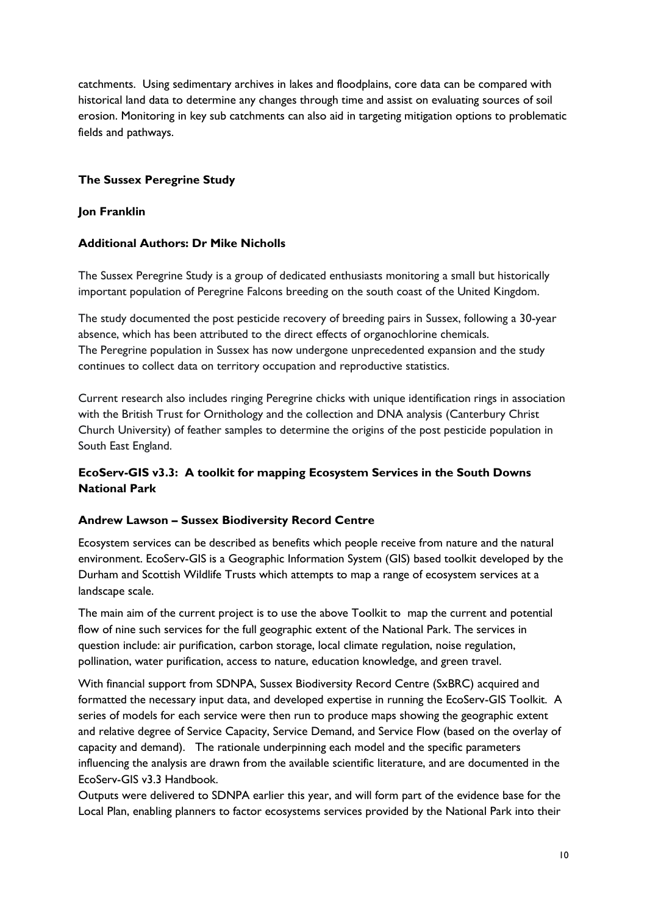catchments. Using sedimentary archives in lakes and floodplains, core data can be compared with historical land data to determine any changes through time and assist on evaluating sources of soil erosion. Monitoring in key sub catchments can also aid in targeting mitigation options to problematic fields and pathways.

## **The Sussex Peregrine Study**

#### **Jon Franklin**

#### **Additional Authors: Dr Mike Nicholls**

The Sussex Peregrine Study is a group of dedicated enthusiasts monitoring a small but historically important population of Peregrine Falcons breeding on the south coast of the United Kingdom.

The study documented the post pesticide recovery of breeding pairs in Sussex, following a 30-year absence, which has been attributed to the direct effects of organochlorine chemicals. The Peregrine population in Sussex has now undergone unprecedented expansion and the study continues to collect data on territory occupation and reproductive statistics.

Current research also includes ringing Peregrine chicks with unique identification rings in association with the British Trust for Ornithology and the collection and DNA analysis (Canterbury Christ Church University) of feather samples to determine the origins of the post pesticide population in South East England.

# **EcoServ-GIS v3.3: A toolkit for mapping Ecosystem Services in the South Downs National Park**

#### **Andrew Lawson – Sussex Biodiversity Record Centre**

Ecosystem services can be described as benefits which people receive from nature and the natural environment. EcoServ-GIS is a Geographic Information System (GIS) based toolkit developed by the Durham and Scottish Wildlife Trusts which attempts to map a range of ecosystem services at a landscape scale.

The main aim of the current project is to use the above Toolkit to map the current and potential flow of nine such services for the full geographic extent of the National Park. The services in question include: air purification, carbon storage, local climate regulation, noise regulation, pollination, water purification, access to nature, education knowledge, and green travel.

With financial support from SDNPA, Sussex Biodiversity Record Centre (SxBRC) acquired and formatted the necessary input data, and developed expertise in running the EcoServ-GIS Toolkit. A series of models for each service were then run to produce maps showing the geographic extent and relative degree of Service Capacity, Service Demand, and Service Flow (based on the overlay of capacity and demand). The rationale underpinning each model and the specific parameters influencing the analysis are drawn from the available scientific literature, and are documented in the EcoServ-GIS v3.3 Handbook.

Outputs were delivered to SDNPA earlier this year, and will form part of the evidence base for the Local Plan, enabling planners to factor ecosystems services provided by the National Park into their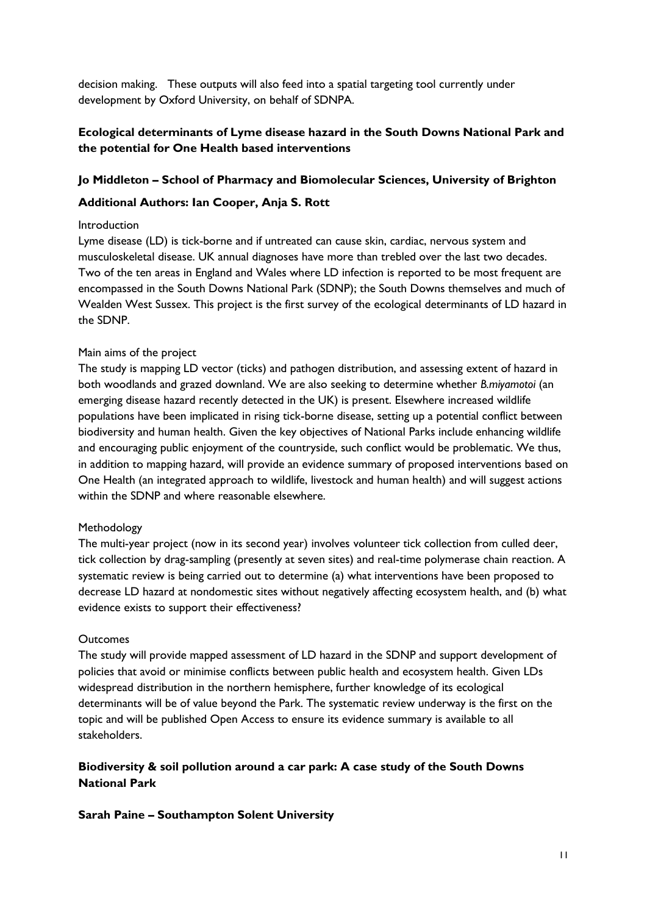decision making. These outputs will also feed into a spatial targeting tool currently under development by Oxford University, on behalf of SDNPA.

## **Ecological determinants of Lyme disease hazard in the South Downs National Park and the potential for One Health based interventions**

#### **Jo Middleton – School of Pharmacy and Biomolecular Sciences, University of Brighton**

#### **Additional Authors: Ian Cooper, Anja S. Rott**

#### Introduction

Lyme disease (LD) is tick-borne and if untreated can cause skin, cardiac, nervous system and musculoskeletal disease. UK annual diagnoses have more than trebled over the last two decades. Two of the ten areas in England and Wales where LD infection is reported to be most frequent are encompassed in the South Downs National Park (SDNP); the South Downs themselves and much of Wealden West Sussex. This project is the first survey of the ecological determinants of LD hazard in the SDNP.

#### Main aims of the project

The study is mapping LD vector (ticks) and pathogen distribution, and assessing extent of hazard in both woodlands and grazed downland. We are also seeking to determine whether *B.miyamotoi* (an emerging disease hazard recently detected in the UK) is present. Elsewhere increased wildlife populations have been implicated in rising tick-borne disease, setting up a potential conflict between biodiversity and human health. Given the key objectives of National Parks include enhancing wildlife and encouraging public enjoyment of the countryside, such conflict would be problematic. We thus, in addition to mapping hazard, will provide an evidence summary of proposed interventions based on One Health (an integrated approach to wildlife, livestock and human health) and will suggest actions within the SDNP and where reasonable elsewhere.

#### Methodology

The multi-year project (now in its second year) involves volunteer tick collection from culled deer, tick collection by drag-sampling (presently at seven sites) and real-time polymerase chain reaction. A systematic review is being carried out to determine (a) what interventions have been proposed to decrease LD hazard at nondomestic sites without negatively affecting ecosystem health, and (b) what evidence exists to support their effectiveness?

#### **Outcomes**

The study will provide mapped assessment of LD hazard in the SDNP and support development of policies that avoid or minimise conflicts between public health and ecosystem health. Given LDs widespread distribution in the northern hemisphere, further knowledge of its ecological determinants will be of value beyond the Park. The systematic review underway is the first on the topic and will be published Open Access to ensure its evidence summary is available to all stakeholders.

## **Biodiversity & soil pollution around a car park: A case study of the South Downs National Park**

#### **Sarah Paine – Southampton Solent University**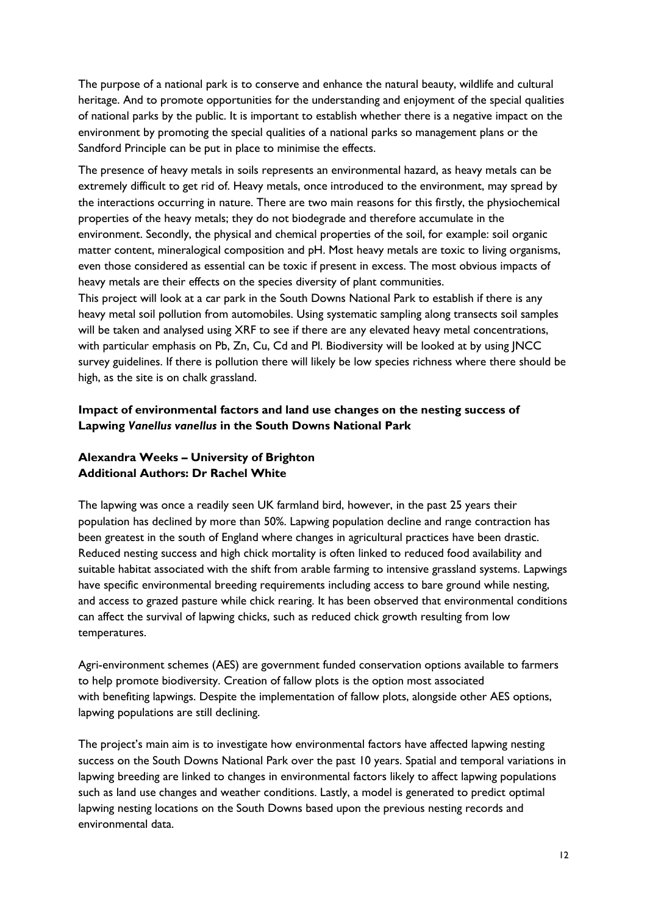The purpose of a national park is to conserve and enhance the natural beauty, wildlife and cultural heritage. And to promote opportunities for the understanding and enjoyment of the special qualities of national parks by the public. It is important to establish whether there is a negative impact on the environment by promoting the special qualities of a national parks so management plans or the Sandford Principle can be put in place to minimise the effects.

The presence of heavy metals in soils represents an environmental hazard, as heavy metals can be extremely difficult to get rid of. Heavy metals, once introduced to the environment, may spread by the interactions occurring in nature. There are two main reasons for this firstly, the physiochemical properties of the heavy metals; they do not biodegrade and therefore accumulate in the environment. Secondly, the physical and chemical properties of the soil, for example: soil organic matter content, mineralogical composition and pH. Most heavy metals are toxic to living organisms, even those considered as essential can be toxic if present in excess. The most obvious impacts of heavy metals are their effects on the species diversity of plant communities.

This project will look at a car park in the South Downs National Park to establish if there is any heavy metal soil pollution from automobiles. Using systematic sampling along transects soil samples will be taken and analysed using XRF to see if there are any elevated heavy metal concentrations, with particular emphasis on Pb, Zn, Cu, Cd and Pl. Biodiversity will be looked at by using JNCC survey guidelines. If there is pollution there will likely be low species richness where there should be high, as the site is on chalk grassland.

#### **Impact of environmental factors and land use changes on the nesting success of Lapwing** *Vanellus vanellus* **in the South Downs National Park**

# **Alexandra Weeks – University of Brighton Additional Authors: Dr Rachel White**

The lapwing was once a readily seen UK farmland bird, however, in the past 25 years their population has declined by more than 50%. Lapwing population decline and range contraction has been greatest in the south of England where changes in agricultural practices have been drastic. Reduced nesting success and high chick mortality is often linked to reduced food availability and suitable habitat associated with the shift from arable farming to intensive grassland systems. Lapwings have specific environmental breeding requirements including access to bare ground while nesting, and access to grazed pasture while chick rearing. It has been observed that environmental conditions can affect the survival of lapwing chicks, such as reduced chick growth resulting from low temperatures.

Agri-environment schemes (AES) are government funded conservation options available to farmers to help promote biodiversity. Creation of fallow plots is the option most associated with benefiting lapwings. Despite the implementation of fallow plots, alongside other AES options, lapwing populations are still declining.

The project's main aim is to investigate how environmental factors have affected lapwing nesting success on the South Downs National Park over the past 10 years. Spatial and temporal variations in lapwing breeding are linked to changes in environmental factors likely to affect lapwing populations such as land use changes and weather conditions. Lastly, a model is generated to predict optimal lapwing nesting locations on the South Downs based upon the previous nesting records and environmental data.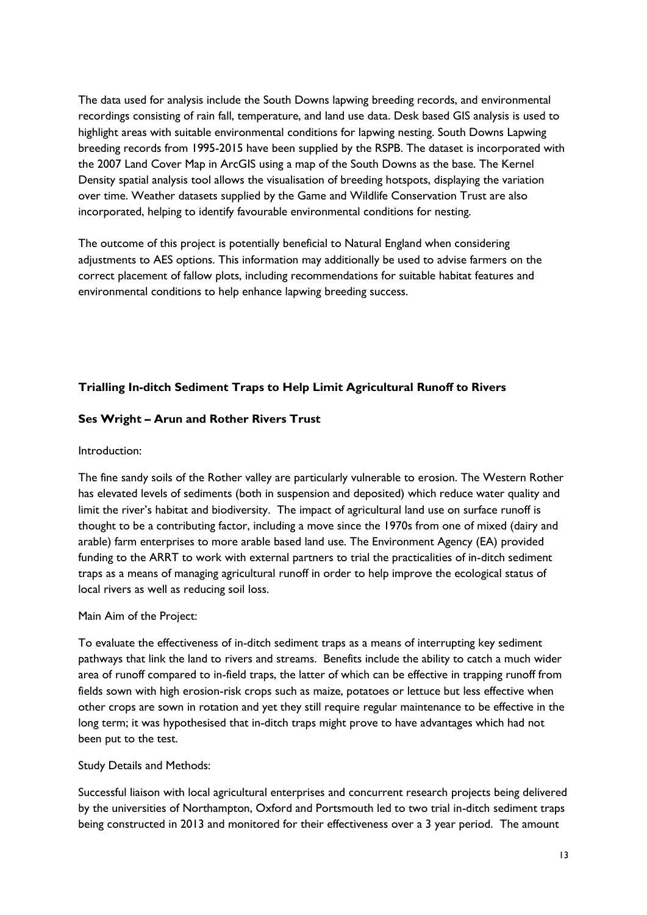The data used for analysis include the South Downs lapwing breeding records, and environmental recordings consisting of rain fall, temperature, and land use data. Desk based GIS analysis is used to highlight areas with suitable environmental conditions for lapwing nesting. South Downs Lapwing breeding records from 1995-2015 have been supplied by the RSPB. The dataset is incorporated with the 2007 Land Cover Map in ArcGIS using a map of the South Downs as the base. The Kernel Density spatial analysis tool allows the visualisation of breeding hotspots, displaying the variation over time. Weather datasets supplied by the Game and Wildlife Conservation Trust are also incorporated, helping to identify favourable environmental conditions for nesting.

The outcome of this project is potentially beneficial to Natural England when considering adjustments to AES options. This information may additionally be used to advise farmers on the correct placement of fallow plots, including recommendations for suitable habitat features and environmental conditions to help enhance lapwing breeding success.

# **Trialling In-ditch Sediment Traps to Help Limit Agricultural Runoff to Rivers**

#### **Ses Wright – Arun and Rother Rivers Trust**

#### Introduction:

The fine sandy soils of the Rother valley are particularly vulnerable to erosion. The Western Rother has elevated levels of sediments (both in suspension and deposited) which reduce water quality and limit the river's habitat and biodiversity. The impact of agricultural land use on surface runoff is thought to be a contributing factor, including a move since the 1970s from one of mixed (dairy and arable) farm enterprises to more arable based land use. The Environment Agency (EA) provided funding to the ARRT to work with external partners to trial the practicalities of in-ditch sediment traps as a means of managing agricultural runoff in order to help improve the ecological status of local rivers as well as reducing soil loss.

#### Main Aim of the Project:

To evaluate the effectiveness of in-ditch sediment traps as a means of interrupting key sediment pathways that link the land to rivers and streams. Benefits include the ability to catch a much wider area of runoff compared to in-field traps, the latter of which can be effective in trapping runoff from fields sown with high erosion-risk crops such as maize, potatoes or lettuce but less effective when other crops are sown in rotation and yet they still require regular maintenance to be effective in the long term; it was hypothesised that in-ditch traps might prove to have advantages which had not been put to the test.

#### Study Details and Methods:

Successful liaison with local agricultural enterprises and concurrent research projects being delivered by the universities of Northampton, Oxford and Portsmouth led to two trial in-ditch sediment traps being constructed in 2013 and monitored for their effectiveness over a 3 year period. The amount